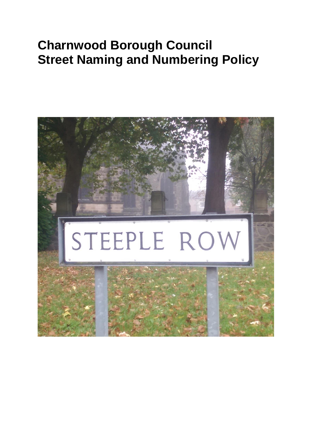# **Charnwood Borough Council Street Naming and Numbering Policy**

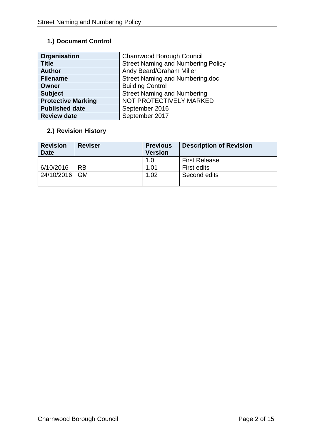# **1.) Document Control**

| Organisation              | Charnwood Borough Council                 |  |  |
|---------------------------|-------------------------------------------|--|--|
| <b>Title</b>              | <b>Street Naming and Numbering Policy</b> |  |  |
| <b>Author</b>             | Andy Beard/Graham Miller                  |  |  |
| <b>Filename</b>           | Street Naming and Numbering.doc           |  |  |
| <b>Owner</b>              | <b>Building Control</b>                   |  |  |
| <b>Subject</b>            | <b>Street Naming and Numbering</b>        |  |  |
| <b>Protective Marking</b> | NOT PROTECTIVELY MARKED                   |  |  |
| <b>Published date</b>     | September 2016                            |  |  |
| <b>Review date</b>        | September 2017                            |  |  |

# **2.) Revision History**

| <b>Revision</b><br><b>Date</b> | <b>Reviser</b> | <b>Previous</b><br><b>Version</b> | <b>Description of Revision</b> |
|--------------------------------|----------------|-----------------------------------|--------------------------------|
|                                |                | 1.O                               | <b>First Release</b>           |
| 6/10/2016                      | RB             | 1.01                              | <b>First edits</b>             |
| 24/10/2016                     | <b>GM</b>      | 1.02                              | Second edits                   |
|                                |                |                                   |                                |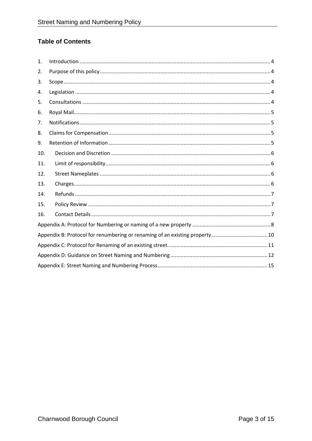# **Table of Contents**

| $\mathbf{1}$ . |  |
|----------------|--|
| 2.             |  |
| 3.             |  |
| 4.             |  |
| 5.             |  |
| 6.             |  |
| 7.             |  |
| 8.             |  |
| 9.             |  |
| 10.            |  |
| 11.            |  |
| 12.            |  |
| 13.            |  |
| 14.            |  |
| 15.            |  |
| 16.            |  |
|                |  |
|                |  |
|                |  |
|                |  |
|                |  |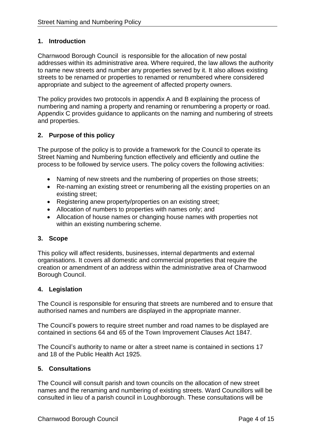## <span id="page-3-0"></span>**1. Introduction**

Charnwood Borough Council is responsible for the allocation of new postal addresses within its administrative area. Where required, the law allows the authority to name new streets and number any properties served by it. It also allows existing streets to be renamed or properties to renamed or renumbered where considered appropriate and subject to the agreement of affected property owners.

The policy provides two protocols in appendix A and B explaining the process of numbering and naming a property and renaming or renumbering a property or road. Appendix C provides guidance to applicants on the naming and numbering of streets and properties.

## <span id="page-3-1"></span>**2. Purpose of this policy**

The purpose of the policy is to provide a framework for the Council to operate its Street Naming and Numbering function effectively and efficiently and outline the process to be followed by service users. The policy covers the following activities:

- Naming of new streets and the numbering of properties on those streets;
- Re-naming an existing street or renumbering all the existing properties on an existing street;
- Registering anew property/properties on an existing street;
- Allocation of numbers to properties with names only; and
- Allocation of house names or changing house names with properties not within an existing numbering scheme.

#### <span id="page-3-2"></span>**3. Scope**

This policy will affect residents, businesses, internal departments and external organisations. It covers all domestic and commercial properties that require the creation or amendment of an address within the administrative area of Charnwood Borough Council.

#### <span id="page-3-3"></span>**4. Legislation**

The Council is responsible for ensuring that streets are numbered and to ensure that authorised names and numbers are displayed in the appropriate manner.

The Council's powers to require street number and road names to be displayed are contained in sections 64 and 65 of the Town Improvement Clauses Act 1847.

The Council's authority to name or alter a street name is contained in sections 17 and 18 of the Public Health Act 1925.

#### <span id="page-3-4"></span>**5. Consultations**

The Council will consult parish and town councils on the allocation of new street names and the renaming and numbering of existing streets. Ward Councillors will be consulted in lieu of a parish council in Loughborough. These consultations will be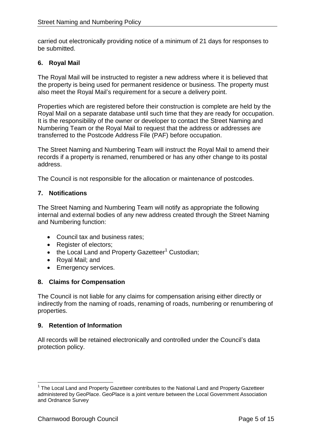carried out electronically providing notice of a minimum of 21 days for responses to be submitted.

## <span id="page-4-0"></span>**6. Royal Mail**

The Royal Mail will be instructed to register a new address where it is believed that the property is being used for permanent residence or business. The property must also meet the Royal Mail's requirement for a secure a delivery point.

Properties which are registered before their construction is complete are held by the Royal Mail on a separate database until such time that they are ready for occupation. It is the responsibility of the owner or developer to contact the Street Naming and Numbering Team or the Royal Mail to request that the address or addresses are transferred to the Postcode Address File (PAF) before occupation.

The Street Naming and Numbering Team will instruct the Royal Mail to amend their records if a property is renamed, renumbered or has any other change to its postal address.

The Council is not responsible for the allocation or maintenance of postcodes.

#### <span id="page-4-1"></span>**7. Notifications**

The Street Naming and Numbering Team will notify as appropriate the following internal and external bodies of any new address created through the Street Naming and Numbering function:

- Council tax and business rates;
- Register of electors:
- $\bullet$  the Local Land and Property Gazetteer<sup>1</sup> Custodian;
- Royal Mail; and
- **Emergency services.**

#### <span id="page-4-2"></span>**8. Claims for Compensation**

The Council is not liable for any claims for compensation arising either directly or indirectly from the naming of roads, renaming of roads, numbering or renumbering of properties.

#### <span id="page-4-3"></span>**9. Retention of Information**

All records will be retained electronically and controlled under the Council's data protection policy.

 $\overline{\phantom{a}}$ <sup>1</sup> The Local Land and Property Gazetteer contributes to the National Land and Property Gazetteer administered by GeoPlace. GeoPlace is a joint venture between the Local Government Association and Ordnance Survey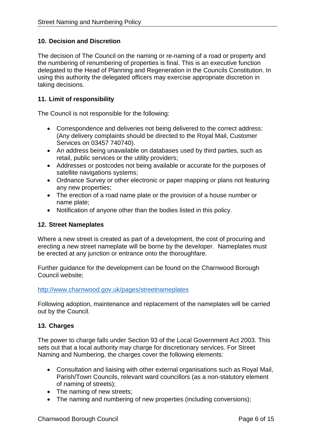## <span id="page-5-0"></span>**10. Decision and Discretion**

The decision of The Council on the naming or re-naming of a road or property and the numbering of renumbering of properties is final. This is an executive function delegated to the Head of Planning and Regeneration in the Councils Constitution. In using this authority the delegated officers may exercise appropriate discretion in taking decisions.

## <span id="page-5-1"></span>**11. Limit of responsibility**

The Council is not responsible for the following:

- Correspondence and deliveries not being delivered to the correct address: (Any delivery complaints should be directed to the Royal Mail, Customer Services on 03457 740740).
- An address being unavailable on databases used by third parties, such as retail, public services or the utility providers;
- Addresses or postcodes not being available or accurate for the purposes of satellite navigations systems;
- Ordnance Survey or other electronic or paper mapping or plans not featuring any new properties;
- The erection of a road name plate or the provision of a house number or name plate;
- Notification of anyone other than the bodies listed in this policy.

#### <span id="page-5-2"></span>**12. Street Nameplates**

Where a new street is created as part of a development, the cost of procuring and erecting a new street nameplate will be borne by the developer. Nameplates must be erected at any junction or entrance onto the thoroughfare.

Further guidance for the development can be found on the Charnwood Borough Council website;

#### <http://www.charnwood.gov.uk/pages/streetnameplates>

Following adoption, maintenance and replacement of the nameplates will be carried out by the Council.

#### <span id="page-5-3"></span>**13. Charges**

The power to charge falls under Section 93 of the Local Government Act 2003. This sets out that a local authority may charge for discretionary services. For Street Naming and Numbering, the charges cover the following elements:

- Consultation and liaising with other external organisations such as Royal Mail, Parish/Town Councils, relevant ward councillors (as a non-statutory element of naming of streets);
- The naming of new streets;
- The naming and numbering of new properties (including conversions):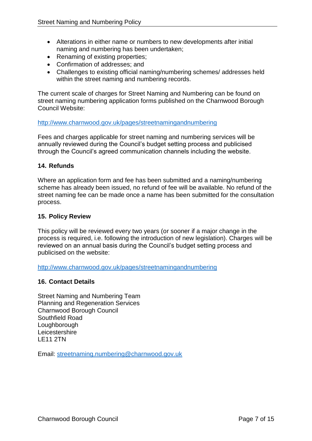- Alterations in either name or numbers to new developments after initial naming and numbering has been undertaken;
- Renaming of existing properties;
- Confirmation of addresses; and
- Challenges to existing official naming/numbering schemes/ addresses held within the street naming and numbering records.

The current scale of charges for Street Naming and Numbering can be found on street naming numbering application forms published on the Charnwood Borough Council Website:

#### <http://www.charnwood.gov.uk/pages/streetnamingandnumbering>

Fees and charges applicable for street naming and numbering services will be annually reviewed during the Council's budget setting process and publicised through the Council's agreed communication channels including the website.

#### <span id="page-6-0"></span>**14. Refunds**

Where an application form and fee has been submitted and a naming/numbering scheme has already been issued, no refund of fee will be available. No refund of the street naming fee can be made once a name has been submitted for the consultation process.

#### <span id="page-6-1"></span>**15. Policy Review**

This policy will be reviewed every two years (or sooner if a major change in the process is required, i.e. following the introduction of new legislation). Charges will be reviewed on an annual basis during the Council's budget setting process and publicised on the website:

<http://www.charnwood.gov.uk/pages/streetnamingandnumbering>

#### <span id="page-6-2"></span>**16. Contact Details**

Street Naming and Numbering Team Planning and Regeneration Services Charnwood Borough Council Southfield Road **Loughborough Leicestershire** LE11 2TN

Email: [streetnaming.numbering@charnwood.gov.uk](mailto:streetnaming.numbering@charnwood.gov.uk)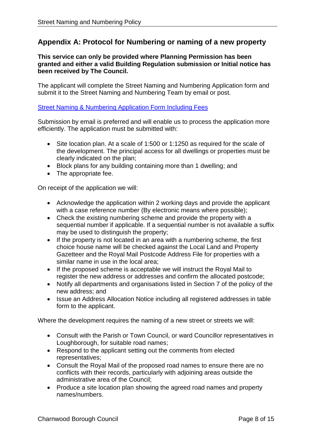# <span id="page-7-0"></span>**Appendix A: Protocol for Numbering or naming of a new property**

#### **This service can only be provided where Planning Permission has been granted and either a valid Building Regulation submission or Initial notice has been received by The Council.**

The applicant will complete the Street Naming and Numbering Application form and submit it to the Street Naming and Numbering Team by email or post.

## [Street Naming & Numbering Application Form Including Fees](http://www.charnwood.gov.uk/files/documents/street_naming_and_numbering_application_form_including_fees/Street%20Naming%20Numbering%20Application%20Form%20and%20Checklist%20inc%20Fees.pdf)

Submission by email is preferred and will enable us to process the application more efficiently. The application must be submitted with:

- Site location plan. At a scale of 1:500 or 1:1250 as required for the scale of the development. The principal access for all dwellings or properties must be clearly indicated on the plan;
- Block plans for any building containing more than 1 dwelling; and
- The appropriate fee.

On receipt of the application we will:

- Acknowledge the application within 2 working days and provide the applicant with a case reference number (By electronic means where possible);
- Check the existing numbering scheme and provide the property with a sequential number if applicable. If a sequential number is not available a suffix may be used to distinguish the property;
- If the property is not located in an area with a numbering scheme, the first choice house name will be checked against the Local Land and Property Gazetteer and the Royal Mail Postcode Address File for properties with a similar name in use in the local area;
- If the proposed scheme is acceptable we will instruct the Royal Mail to register the new address or addresses and confirm the allocated postcode;
- Notify all departments and organisations listed in Section 7 of the policy of the new address; and
- Issue an Address Allocation Notice including all registered addresses in table form to the applicant.

Where the development requires the naming of a new street or streets we will:

- Consult with the Parish or Town Council, or ward Councillor representatives in Loughborough, for suitable road names;
- Respond to the applicant setting out the comments from elected representatives;
- Consult the Royal Mail of the proposed road names to ensure there are no conflicts with their records, particularly with adjoining areas outside the administrative area of the Council;
- Produce a site location plan showing the agreed road names and property names/numbers.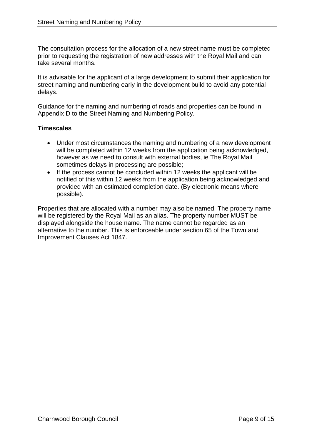The consultation process for the allocation of a new street name must be completed prior to requesting the registration of new addresses with the Royal Mail and can take several months.

It is advisable for the applicant of a large development to submit their application for street naming and numbering early in the development build to avoid any potential delays.

Guidance for the naming and numbering of roads and properties can be found in Appendix D to the Street Naming and Numbering Policy.

## **Timescales**

- Under most circumstances the naming and numbering of a new development will be completed within 12 weeks from the application being acknowledged, however as we need to consult with external bodies, ie The Royal Mail sometimes delays in processing are possible;
- If the process cannot be concluded within 12 weeks the applicant will be notified of this within 12 weeks from the application being acknowledged and provided with an estimated completion date. (By electronic means where possible).

Properties that are allocated with a number may also be named. The property name will be registered by the Royal Mail as an alias. The property number MUST be displayed alongside the house name. The name cannot be regarded as an alternative to the number. This is enforceable under section 65 of the Town and Improvement Clauses Act 1847.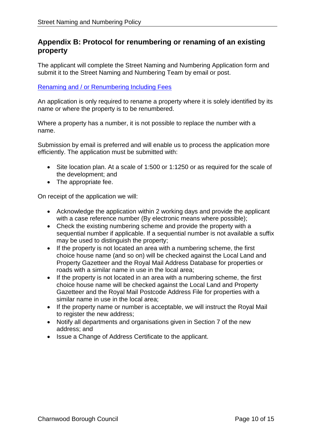# <span id="page-9-0"></span>**Appendix B: Protocol for renumbering or renaming of an existing property**

The applicant will complete the Street Naming and Numbering Application form and submit it to the Street Naming and Numbering Team by email or post.

## [Renaming and / or Renumbering Including Fees](http://www.charnwood.gov.uk/files/documents/renaming_and_or_renumbering_including_fees/Re-%20Numbering%20Application%20Form%20and%20Checklist%20inc%20Fees.pdf)

An application is only required to rename a property where it is solely identified by its name or where the property is to be renumbered.

Where a property has a number, it is not possible to replace the number with a name.

Submission by email is preferred and will enable us to process the application more efficiently. The application must be submitted with:

- Site location plan. At a scale of 1:500 or 1:1250 or as required for the scale of the development; and
- The appropriate fee.

On receipt of the application we will:

- Acknowledge the application within 2 working days and provide the applicant with a case reference number (By electronic means where possible);
- Check the existing numbering scheme and provide the property with a sequential number if applicable. If a sequential number is not available a suffix may be used to distinguish the property;
- If the property is not located an area with a numbering scheme, the first choice house name (and so on) will be checked against the Local Land and Property Gazetteer and the Royal Mail Address Database for properties or roads with a similar name in use in the local area;
- If the property is not located in an area with a numbering scheme, the first choice house name will be checked against the Local Land and Property Gazetteer and the Royal Mail Postcode Address File for properties with a similar name in use in the local area;
- If the property name or number is acceptable, we will instruct the Royal Mail to register the new address;
- Notify all departments and organisations given in Section 7 of the new address; and
- Issue a Change of Address Certificate to the applicant.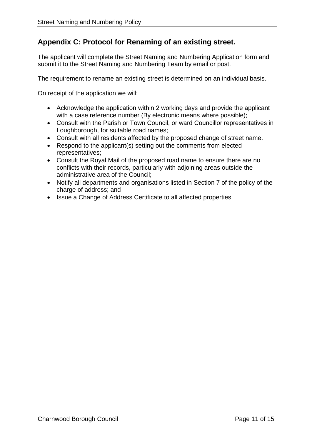# <span id="page-10-0"></span>**Appendix C: Protocol for Renaming of an existing street.**

The applicant will complete the Street Naming and Numbering Application form and submit it to the Street Naming and Numbering Team by email or post.

The requirement to rename an existing street is determined on an individual basis.

On receipt of the application we will:

- Acknowledge the application within 2 working days and provide the applicant with a case reference number (By electronic means where possible);
- Consult with the Parish or Town Council, or ward Councillor representatives in Loughborough, for suitable road names;
- Consult with all residents affected by the proposed change of street name.
- Respond to the applicant(s) setting out the comments from elected representatives;
- Consult the Royal Mail of the proposed road name to ensure there are no conflicts with their records, particularly with adjoining areas outside the administrative area of the Council;
- Notify all departments and organisations listed in Section 7 of the policy of the charge of address; and
- Issue a Change of Address Certificate to all affected properties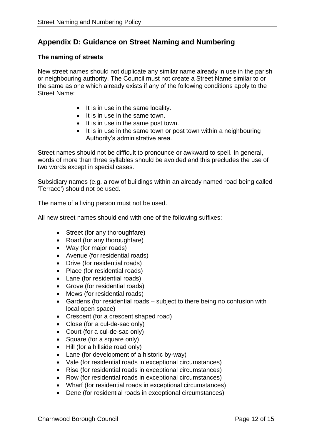# <span id="page-11-0"></span>**Appendix D: Guidance on Street Naming and Numbering**

## **The naming of streets**

New street names should not duplicate any similar name already in use in the parish or neighbouring authority. The Council must not create a Street Name similar to or the same as one which already exists if any of the following conditions apply to the Street Name:

- $\bullet$  It is in use in the same locality.
- $\bullet$  It is in use in the same town.
- It is in use in the same post town.
- It is in use in the same town or post town within a neighbouring Authority's administrative area.

Street names should not be difficult to pronounce or awkward to spell. In general, words of more than three syllables should be avoided and this precludes the use of two words except in special cases.

Subsidiary names (e.g. a row of buildings within an already named road being called 'Terrace') should not be used.

The name of a living person must not be used.

All new street names should end with one of the following suffixes:

- Street (for any thoroughfare)
- Road (for any thoroughfare)
- Way (for major roads)
- Avenue (for residential roads)
- Drive (for residential roads)
- Place (for residential roads)
- Lane (for residential roads)
- Grove (for residential roads)
- Mews (for residential roads)
- Gardens (for residential roads subject to there being no confusion with local open space)
- Crescent (for a crescent shaped road)
- Close (for a cul-de-sac only)
- Court (for a cul-de-sac only)
- Square (for a square only)
- Hill (for a hillside road only)
- Lane (for development of a historic by-way)
- Vale (for residential roads in exceptional circumstances)
- Rise (for residential roads in exceptional circumstances)
- Row (for residential roads in exceptional circumstances)
- Wharf (for residential roads in exceptional circumstances)
- Dene (for residential roads in exceptional circumstances)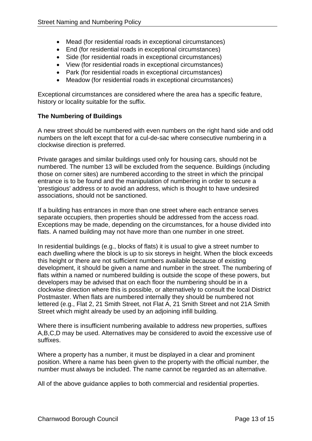- Mead (for residential roads in exceptional circumstances)
- End (for residential roads in exceptional circumstances)
- Side (for residential roads in exceptional circumstances)
- View (for residential roads in exceptional circumstances)
- Park (for residential roads in exceptional circumstances)
- Meadow (for residential roads in exceptional circumstances)

Exceptional circumstances are considered where the area has a specific feature, history or locality suitable for the suffix.

# **The Numbering of Buildings**

A new street should be numbered with even numbers on the right hand side and odd numbers on the left except that for a cul-de-sac where consecutive numbering in a clockwise direction is preferred.

Private garages and similar buildings used only for housing cars, should not be numbered. The number 13 will be excluded from the sequence. Buildings (including those on corner sites) are numbered according to the street in which the principal entrance is to be found and the manipulation of numbering in order to secure a 'prestigious' address or to avoid an address, which is thought to have undesired associations, should not be sanctioned.

If a building has entrances in more than one street where each entrance serves separate occupiers, then properties should be addressed from the access road. Exceptions may be made, depending on the circumstances, for a house divided into flats. A named building may not have more than one number in one street.

In residential buildings (e.g., blocks of flats) it is usual to give a street number to each dwelling where the block is up to six storeys in height. When the block exceeds this height or there are not sufficient numbers available because of existing development, it should be given a name and number in the street. The numbering of flats within a named or numbered building is outside the scope of these powers, but developers may be advised that on each floor the numbering should be in a clockwise direction where this is possible, or alternatively to consult the local District Postmaster. When flats are numbered internally they should be numbered not lettered (e.g., Flat 2, 21 Smith Street, not Flat A, 21 Smith Street and not 21A Smith Street which might already be used by an adjoining infill building.

Where there is insufficient numbering available to address new properties, suffixes A,B,C,D may be used. Alternatives may be considered to avoid the excessive use of suffixes.

Where a property has a number, it must be displayed in a clear and prominent position. Where a name has been given to the property with the official number, the number must always be included. The name cannot be regarded as an alternative.

All of the above guidance applies to both commercial and residential properties.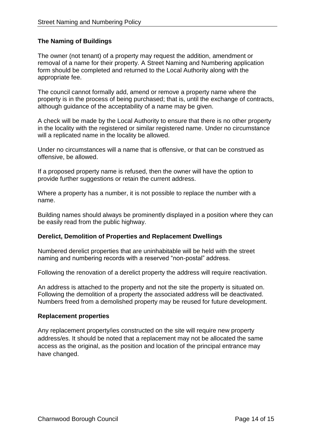# **The Naming of Buildings**

The owner (not tenant) of a property may request the addition, amendment or removal of a name for their property. A Street Naming and Numbering application form should be completed and returned to the Local Authority along with the appropriate fee.

The council cannot formally add, amend or remove a property name where the property is in the process of being purchased; that is, until the exchange of contracts, although guidance of the acceptability of a name may be given.

A check will be made by the Local Authority to ensure that there is no other property in the locality with the registered or similar registered name. Under no circumstance will a replicated name in the locality be allowed.

Under no circumstances will a name that is offensive, or that can be construed as offensive, be allowed.

If a proposed property name is refused, then the owner will have the option to provide further suggestions or retain the current address.

Where a property has a number, it is not possible to replace the number with a name.

Building names should always be prominently displayed in a position where they can be easily read from the public highway.

#### **Derelict, Demolition of Properties and Replacement Dwellings**

Numbered derelict properties that are uninhabitable will be held with the street naming and numbering records with a reserved "non-postal" address.

Following the renovation of a derelict property the address will require reactivation.

An address is attached to the property and not the site the property is situated on. Following the demolition of a property the associated address will be deactivated. Numbers freed from a demolished property may be reused for future development.

#### **Replacement properties**

Any replacement property/ies constructed on the site will require new property address/es. It should be noted that a replacement may not be allocated the same access as the original, as the position and location of the principal entrance may have changed.